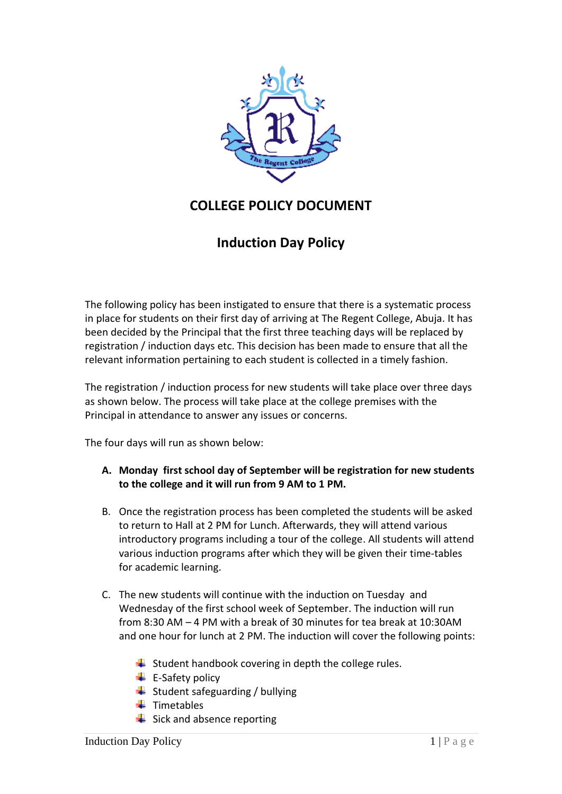

## **COLLEGE POLICY DOCUMENT**

## **Induction Day Policy**

The following policy has been instigated to ensure that there is a systematic process in place for students on their first day of arriving at The Regent College, Abuja. It has been decided by the Principal that the first three teaching days will be replaced by registration / induction days etc. This decision has been made to ensure that all the relevant information pertaining to each student is collected in a timely fashion.

The registration / induction process for new students will take place over three days as shown below. The process will take place at the college premises with the Principal in attendance to answer any issues or concerns.

The four days will run as shown below:

- **A. Monday first school day of September will be registration for new students to the college and it will run from 9 AM to 1 PM.**
- B. Once the registration process has been completed the students will be asked to return to Hall at 2 PM for Lunch. Afterwards, they will attend various introductory programs including a tour of the college. All students will attend various induction programs after which they will be given their time-tables for academic learning.
- C. The new students will continue with the induction on Tuesday and Wednesday of the first school week of September. The induction will run from 8:30 AM – 4 PM with a break of 30 minutes for tea break at 10:30AM and one hour for lunch at 2 PM. The induction will cover the following points:
	- $\frac{1}{2}$  Student handbook covering in depth the college rules.
	- $\leftarrow$  E-Safety policy
	- $\bigstar$  Student safeguarding / bullying
	- $\ddot{\phantom{1}}$  Timetables
	- $\frac{1}{2}$  Sick and absence reporting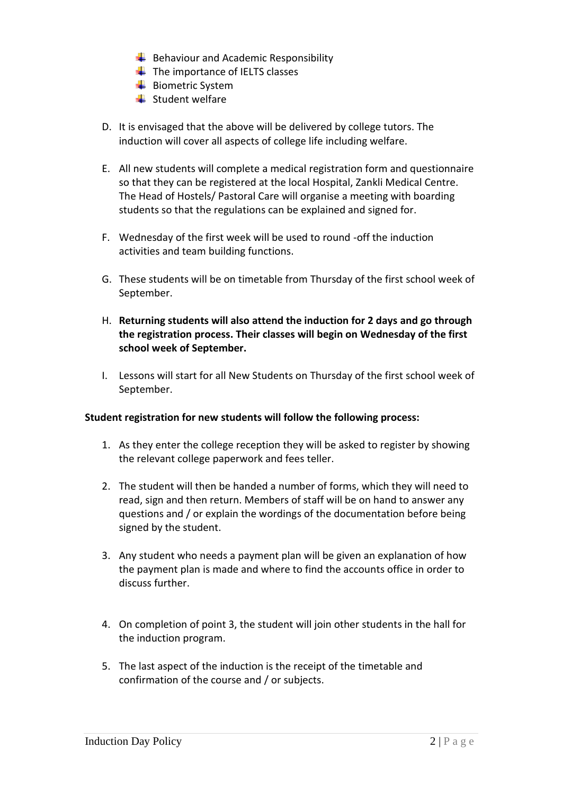- $\bigstar$  Behaviour and Academic Responsibility
- $\ddot{\bullet}$  The importance of IELTS classes
- $\frac{1}{\sqrt{2}}$  Biometric System
- $\frac{1}{\sqrt{2}}$  Student welfare
- D. It is envisaged that the above will be delivered by college tutors. The induction will cover all aspects of college life including welfare.
- E. All new students will complete a medical registration form and questionnaire so that they can be registered at the local Hospital, Zankli Medical Centre. The Head of Hostels/ Pastoral Care will organise a meeting with boarding students so that the regulations can be explained and signed for.
- F. Wednesday of the first week will be used to round -off the induction activities and team building functions.
- G. These students will be on timetable from Thursday of the first school week of September.
- H. **Returning students will also attend the induction for 2 days and go through the registration process. Their classes will begin on Wednesday of the first school week of September.**
- I. Lessons will start for all New Students on Thursday of the first school week of September.

## **Student registration for new students will follow the following process:**

- 1. As they enter the college reception they will be asked to register by showing the relevant college paperwork and fees teller.
- 2. The student will then be handed a number of forms, which they will need to read, sign and then return. Members of staff will be on hand to answer any questions and / or explain the wordings of the documentation before being signed by the student.
- 3. Any student who needs a payment plan will be given an explanation of how the payment plan is made and where to find the accounts office in order to discuss further.
- 4. On completion of point 3, the student will join other students in the hall for the induction program.
- 5. The last aspect of the induction is the receipt of the timetable and confirmation of the course and / or subjects.